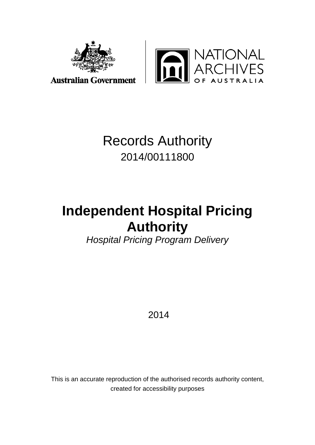

**XTIONAL<br>CHIVES**<br>australia H

# Records Authority 2014/00111800

# **Independent Hospital Pricing Authority**

*Hospital Pricing Program Delivery*

2014

This is an accurate reproduction of the authorised records authority content, created for accessibility purposes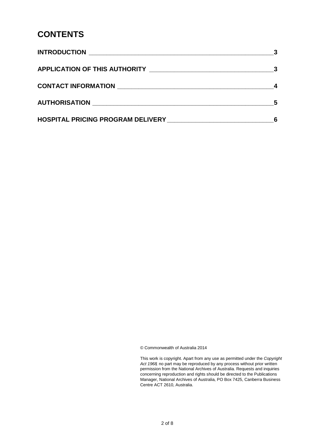### **CONTENTS**

| <b>APPLICATION OF THIS AUTHORITY</b>     | $\mathbf{3}$ |
|------------------------------------------|--------------|
|                                          |              |
|                                          | 5            |
| <b>HOSPITAL PRICING PROGRAM DELIVERY</b> |              |

© Commonwealth of Australia 2014

This work is copyright. Apart from any use as permitted under the *Copyright Act 1968,* no part may be reproduced by any process without prior written permission from the National Archives of Australia. Requests and inquiries concerning reproduction and rights should be directed to the Publications Manager, National Archives of Australia, PO Box 7425, Canberra Business Centre ACT 2610, Australia.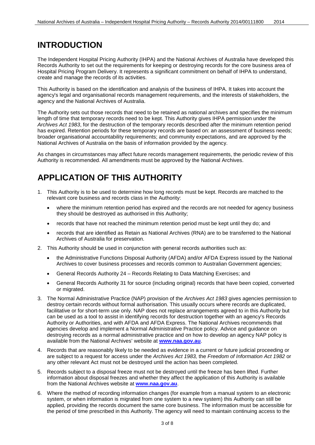## <span id="page-2-0"></span>**INTRODUCTION**

The Independent Hospital Pricing Authority (IHPA) and the National Archives of Australia have developed this Records Authority to set out the requirements for keeping or destroying records for the core business area of Hospital Pricing Program Delivery. It represents a significant commitment on behalf of IHPA to understand, create and manage the records of its activities.

This Authority is based on the identification and analysis of the business of IHPA. It takes into account the agency's legal and organisational records management requirements, and the interests of stakeholders, the agency and the National Archives of Australia.

The Authority sets out those records that need to be retained as national archives and specifies the minimum length of time that temporary records need to be kept. This Authority gives IHPA permission under the *Archives Act 1983*, for the destruction of the temporary records described after the minimum retention period has expired. Retention periods for these temporary records are based on: an assessment of business needs: broader organisational accountability requirements; and community expectations, and are approved by the National Archives of Australia on the basis of information provided by the agency.

As changes in circumstances may affect future records management requirements, the periodic review of this Authority is recommended. All amendments must be approved by the National Archives.

# <span id="page-2-1"></span>**APPLICATION OF THIS AUTHORITY**

- 1. This Authority is to be used to determine how long records must be kept. Records are matched to the relevant core business and records class in the Authority:
	- where the minimum retention period has expired and the records are not needed for agency business they should be destroyed as authorised in this Authority;
	- records that have not reached the minimum retention period must be kept until they do; and
	- records that are identified as Retain as National Archives (RNA) are to be transferred to the National Archives of Australia for preservation.
- 2. This Authority should be used in conjunction with general records authorities such as:
	- the Administrative Functions Disposal Authority (AFDA) and/or AFDA Express issued by the National Archives to cover business processes and records common to Australian Government agencies;
	- General Records Authority 24 Records Relating to Data Matching Exercises; and
	- General Records Authority 31 for source (including original) records that have been copied, converted or migrated.
- 3. The Normal Administrative Practice (NAP) provision of the *Archives Act 1983* gives agencies permission to destroy certain records without formal authorisation. This usually occurs where records are duplicated, facilitative or for short-term use only. NAP does not replace arrangements agreed to in this Authority but can be used as a tool to assist in identifying records for destruction together with an agency's Records Authority or Authorities, and with AFDA and AFDA Express. The National Archives recommends that agencies develop and implement a Normal Administrative Practice policy. Advice and guidance on destroying records as a normal administrative practice and on how to develop an agency NAP policy is available from the National Archives' website at **[www.naa.gov.au](http://www.naa.gov.au/)**.
- 4. Records that are reasonably likely to be needed as evidence in a current or future judicial proceeding or are subject to a request for access under the *Archives Act 1983,* the *Freedom of Information Act 1982* or any other relevant Act must not be destroyed until the action has been completed.
- 5. Records subject to a disposal freeze must not be destroyed until the freeze has been lifted. Further information about disposal freezes and whether they affect the application of this Authority is available from the National Archives website at **[www.naa.gov.au](http://www.naa.gov.au/)**.
- 6. Where the method of recording information changes (for example from a manual system to an electronic system, or when information is migrated from one system to a new system) this Authority can still be applied, providing the records document the same core business. The information must be accessible for the period of time prescribed in this Authority. The agency will need to maintain continuing access to the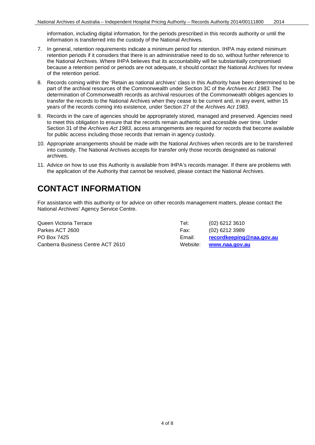information, including digital information, for the periods prescribed in this records authority or until the information is transferred into the custody of the National Archives.

- 7. In general, retention requirements indicate a minimum period for retention. IHPA may extend minimum retention periods if it considers that there is an administrative need to do so, without further reference to the National Archives. Where IHPA believes that its accountability will be substantially compromised because a retention period or periods are not adequate, it should contact the National Archives for review of the retention period.
- 8. Records coming within the 'Retain as national archives' class in this Authority have been determined to be part of the archival resources of the Commonwealth under Section 3C of the *Archives Act 1983*. The determination of Commonwealth records as archival resources of the Commonwealth obliges agencies to transfer the records to the National Archives when they cease to be current and, in any event, within 15 years of the records coming into existence, under Section 27 of the *Archives Act 1983*.
- 9. Records in the care of agencies should be appropriately stored, managed and preserved. Agencies need to meet this obligation to ensure that the records remain authentic and accessible over time. Under Section 31 of the *Archives Act 1983*, access arrangements are required for records that become available for public access including those records that remain in agency custody.
- 10. Appropriate arrangements should be made with the National Archives when records are to be transferred into custody. The National Archives accepts for transfer only those records designated as national archives.
- 11. Advice on how to use this Authority is available from IHPA's records manager. If there are problems with the application of the Authority that cannot be resolved, please contact the National Archives.

# <span id="page-3-0"></span>**CONTACT INFORMATION**

For assistance with this authority or for advice on other records management matters, please contact the National Archives' Agency Service Centre.

| Queen Victoria Terrace            | Tel:     | $(02)$ 6212 3610         |
|-----------------------------------|----------|--------------------------|
| Parkes ACT 2600                   | Fax:     | $(02)$ 6212 3989         |
| PO Box 7425                       | Email:   | recordkeeping@naa.gov.au |
| Canberra Business Centre ACT 2610 | Website: | www.naa.gov.au           |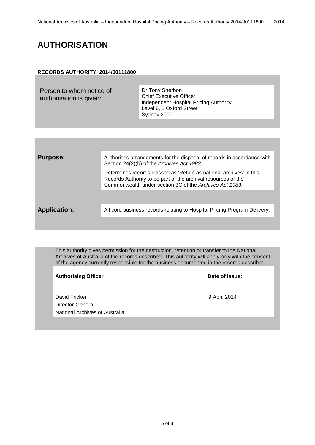# <span id="page-4-0"></span>**AUTHORISATION**

#### **RECORDS AUTHORITY 2014/00111800**

| Person to whom notice of<br>authorisation is given: | Dr Tony Sherbon<br><b>Chief Executive Officer</b><br>Independent Hospital Pricing Authority<br>Level 6, 1 Oxford Street<br>Sydney 2000 |
|-----------------------------------------------------|----------------------------------------------------------------------------------------------------------------------------------------|
|-----------------------------------------------------|----------------------------------------------------------------------------------------------------------------------------------------|

| <b>Purpose:</b>     | Authorises arrangements for the disposal of records in accordance with<br>Section 24(2)(b) of the Archives Act 1983.                                                                            |
|---------------------|-------------------------------------------------------------------------------------------------------------------------------------------------------------------------------------------------|
|                     | Determines records classed as 'Retain as national archives' in this<br>Records Authority to be part of the archival resources of the<br>Commonwealth under section 3C of the Archives Act 1983. |
|                     |                                                                                                                                                                                                 |
| <b>Application:</b> | All core business records relating to Hospital Pricing Program Delivery.                                                                                                                        |
|                     |                                                                                                                                                                                                 |

This authority gives permission for the destruction, retention or transfer to the National Archives of Australia of the records described. This authority will apply only with the consent of the agency currently responsible for the business documented in the records described.

| <b>Authorising Officer</b>     | Date of issue: |
|--------------------------------|----------------|
|                                |                |
| David Fricker                  | 9 April 2014   |
| Director-General               |                |
| National Archives of Australia |                |
|                                |                |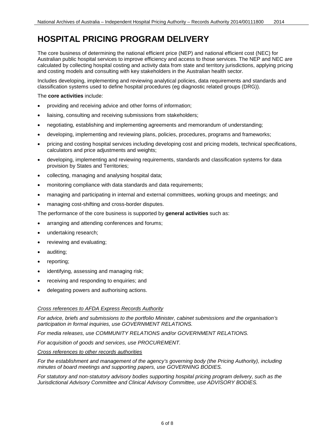# <span id="page-5-0"></span>**HOSPITAL PRICING PROGRAM DELIVERY**

The core business of determining the national efficient price (NEP) and national efficient cost (NEC) for Australian public hospital services to improve efficiency and access to those services. The NEP and NEC are calculated by collecting hospital costing and activity data from state and territory jurisdictions, applying pricing and costing models and consulting with key stakeholders in the Australian health sector.

Includes developing, implementing and reviewing analytical policies, data requirements and standards and classification systems used to define hospital procedures (eg diagnostic related groups (DRG)).

#### The **core activities** include:

- providing and receiving advice and other forms of information;
- liaising, consulting and receiving submissions from stakeholders;
- negotiating, establishing and implementing agreements and memorandum of understanding;
- developing, implementing and reviewing plans, policies, procedures, programs and frameworks;
- pricing and costing hospital services including developing cost and pricing models, technical specifications, calculators and price adjustments and weights;
- developing, implementing and reviewing requirements, standards and classification systems for data provision by States and Territories;
- collecting, managing and analysing hospital data;
- monitoring compliance with data standards and data requirements;
- managing and participating in internal and external committees, working groups and meetings; and
- managing cost-shifting and cross-border disputes.

The performance of the core business is supported by **general activities** such as:

- arranging and attending conferences and forums;
- undertaking research;
- reviewing and evaluating;
- auditing;
- reporting;
- identifying, assessing and managing risk;
- receiving and responding to enquiries; and
- delegating powers and authorising actions.

#### *Cross references to AFDA Express Records Authority*

*For advice, briefs and submissions to the portfolio Minister, cabinet submissions and the organisation's participation in formal inquiries, use GOVERNMENT RELATIONS.*

*For media releases, use COMMUNITY RELATIONS and/or GOVERNMENT RELATIONS.*

*For acquisition of goods and services, use PROCUREMENT.*

#### *Cross references to other records authorities*

*For the establishment and management of the agency's governing body (the Pricing Authority), including minutes of board meetings and supporting papers, use GOVERNING BODIES.*

*For statutory and non-statutory advisory bodies supporting hospital pricing program delivery, such as the Jurisdictional Advisory Committee and Clinical Advisory Committee, use ADVISORY BODIES.*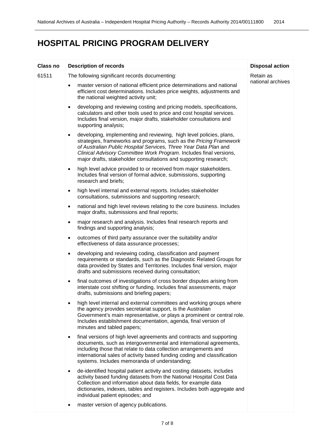### **HOSPITAL PRICING PROGRAM DELIVERY**

| <b>Class no</b> | <b>Description of records</b>                                                                                                                                                                                                                                                                                                                                        | <b>Disposal action</b> |
|-----------------|----------------------------------------------------------------------------------------------------------------------------------------------------------------------------------------------------------------------------------------------------------------------------------------------------------------------------------------------------------------------|------------------------|
| 61511           | The following significant records documenting:                                                                                                                                                                                                                                                                                                                       | Retain as              |
|                 | master version of national efficient price determinations and national<br>$\bullet$<br>efficient cost determinations. Includes price weights, adjustments and<br>the national weighted activity unit;                                                                                                                                                                | national archives      |
|                 | developing and reviewing costing and pricing models, specifications,<br>$\bullet$<br>calculators and other tools used to price and cost hospital services.<br>Includes final version, major drafts, stakeholder consultations and<br>supporting analysis;                                                                                                            |                        |
|                 | developing, implementing and reviewing, high level policies, plans,<br>$\bullet$<br>strategies, frameworks and programs, such as the Pricing Framework<br>of Australian Public Hospital Services, Three Year Data Plan and<br>Clinical Advisory Committee Work Program. Includes final versions,<br>major drafts, stakeholder consultations and supporting research; |                        |
|                 | high level advice provided to or received from major stakeholders.<br>$\bullet$<br>Includes final version of formal advice, submissions, supporting<br>research and briefs;                                                                                                                                                                                          |                        |
|                 | high level internal and external reports. Includes stakeholder<br>$\bullet$<br>consultations, submissions and supporting research;                                                                                                                                                                                                                                   |                        |
|                 | national and high level reviews relating to the core business. Includes<br>$\bullet$<br>major drafts, submissions and final reports;                                                                                                                                                                                                                                 |                        |
|                 | major research and analysis. Includes final research reports and<br>findings and supporting analysis;                                                                                                                                                                                                                                                                |                        |
|                 | outcomes of third party assurance over the suitability and/or<br>$\bullet$<br>effectiveness of data assurance processes;                                                                                                                                                                                                                                             |                        |
|                 | developing and reviewing coding, classification and payment<br>$\bullet$<br>requirements or standards, such as the Diagnostic Related Groups for<br>data provided by States and Territories. Includes final version, major<br>drafts and submissions received during consultation;                                                                                   |                        |
|                 | final outcomes of investigations of cross border disputes arising from<br>$\bullet$<br>interstate cost shifting or funding. Includes final assessments, major<br>drafts, submissions and briefing papers;                                                                                                                                                            |                        |
|                 | high level internal and external committees and working groups where<br>the agency provides secretariat support, is the Australian<br>Government's main representative, or plays a prominent or central role.<br>Includes establishment documentation, agenda, final version of<br>minutes and tabled papers;                                                        |                        |
|                 | final versions of high level agreements and contracts and supporting<br>$\bullet$<br>documents, such as intergovernmental and international agreements,<br>including those that relate to data collection arrangements and<br>international sales of activity based funding coding and classification<br>systems. Includes memoranda of understanding;               |                        |
|                 | de-identified hospital patient activity and costing datasets, includes<br>activity based funding datasets from the National Hospital Cost Data<br>Collection and information about data fields, for example data<br>dictionaries, indexes, tables and registers. Includes both aggregate and<br>individual patient episodes; and                                     |                        |
|                 | master version of agency publications.                                                                                                                                                                                                                                                                                                                               |                        |